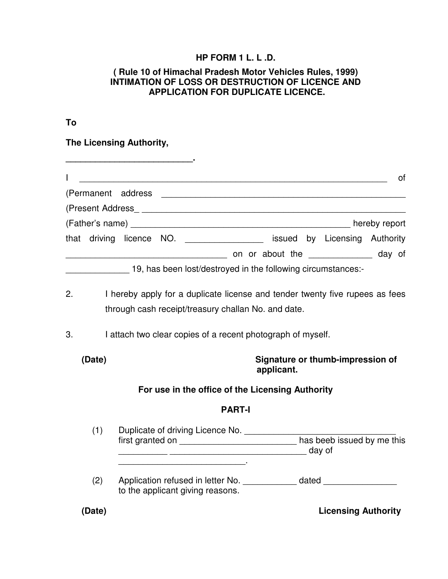#### **HP FORM 1 L. L .D.**

#### **( Rule 10 of Himachal Pradesh Motor Vehicles Rules, 1999) INTIMATION OF LOSS OR DESTRUCTION OF LICENCE AND APPLICATION FOR DUPLICATE LICENCE.**

### **To**

**The Licensing Authority,** 

|                                                                                                                                                                                                                                | οf                                                           |
|--------------------------------------------------------------------------------------------------------------------------------------------------------------------------------------------------------------------------------|--------------------------------------------------------------|
| (Permanent address                                                                                                                                                                                                             |                                                              |
| (Present Address expansion of the set of the set of the set of the set of the set of the set of the set of the set of the set of the set of the set of the set of the set of the set of the set of the set of the set of the s |                                                              |
|                                                                                                                                                                                                                                | hereby report                                                |
| that driving licence NO.                                                                                                                                                                                                       | issued by Licensing Authority                                |
|                                                                                                                                                                                                                                | on or about the the day of                                   |
|                                                                                                                                                                                                                                | $10$ has hear leat destroyed in the following size metapoon. |

\_\_\_\_\_\_\_\_\_\_\_\_\_ 19, has been lost/destroyed in the following circumstances:-

- 2. I hereby apply for a duplicate license and tender twenty five rupees as fees through cash receipt/treasury challan No. and date.
- 3. I attach two clear copies of a recent photograph of myself.

**\_\_\_\_\_\_\_\_\_\_\_\_\_\_\_\_\_\_\_\_\_\_\_\_\_\_.** 

**(Date) Signature or thumb-impression of applicant.** 

### **For use in the office of the Licensing Authority**

#### **PART-I**

| (1) | Duplicate of driving Licence No.<br>first granted on                  | has beeb issued by me this<br>day of |
|-----|-----------------------------------------------------------------------|--------------------------------------|
| (2) | Application refused in letter No.<br>to the applicant giving reasons. | dated                                |

**(Date) Licensing Authority**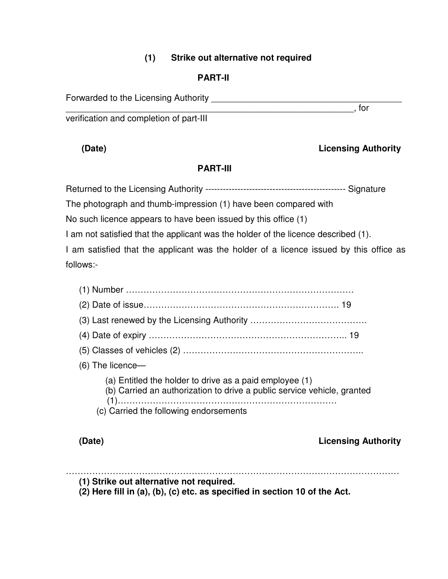### **(1) Strike out alternative not required**

# **PART-II**

Forwarded to the Licensing Authority **Example 20** Forwarded to the Licensing Authority  $\rule{1em}{0.15mm}$  , for

verification and completion of part-III

# **(Date) Licensing Authority**

# **PART-III**

Returned to the Licensing Authority ------------------------------------------------ Signature

The photograph and thumb-impression (1) have been compared with

No such licence appears to have been issued by this office (1)

I am not satisfied that the applicant was the holder of the licence described (1).

I am satisfied that the applicant was the holder of a licence issued by this office as follows:-

(1) Number …………………………………………………………………… (2) Date of issue…………………………………………………………. 19 (3) Last renewed by the Licensing Authority …………………………………. (4) Date of expiry ………………………………………………………….. 19 (5) Classes of vehicles (2) …………………………………………………….. (6) The licence— (a) Entitled the holder to drive as a paid employee (1) (b) Carried an authorization to drive a public service vehicle, granted (1)………………………………………………………………… (c) Carried the following endorsements

**(Date) Licensing Authority** 

……………………………………………………………………………………………………

**(1) Strike out alternative not required.** 

**(2) Here fill in (a), (b), (c) etc. as specified in section 10 of the Act.**